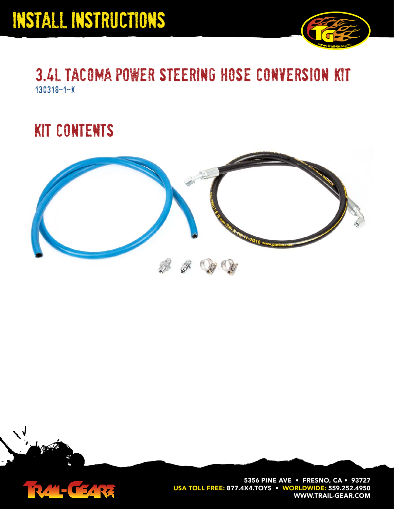

### 3.4l tacoma power steering hose conversion kit 130318-1-k

### kit contents





**5356 PINE AVE • FRESNO, CA • 93727 USA TOLL FREE: 877.4X4.TOYS • WORLDWIDE: 559.252.4950 WWW.TRAIL-GEAR.COM**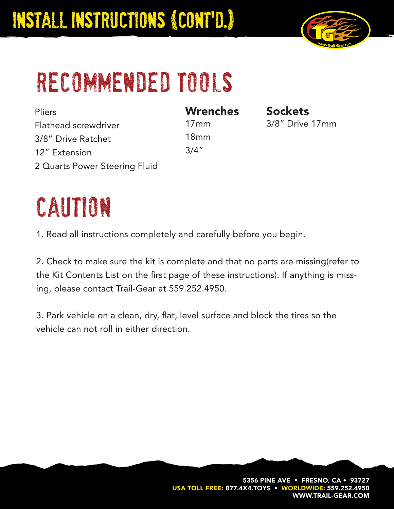

# recommended tools

**Pliers** Flathead screwdriver 3/8" Drive Ratchet 12" Extension 2 Quarts Power Steering Fluid **Wrenches** 17mm 18mm 3/4"

**Sockets** 3/8" Drive 17mm

## caution

1. Read all instructions completely and carefully before you begin.

2. Check to make sure the kit is complete and that no parts are missing(refer to the Kit Contents List on the first page of these instructions). If anything is missing, please contact Trail-Gear at 559.252.4950.

3. Park vehicle on a clean, dry, flat, level surface and block the tires so the vehicle can not roll in either direction.

> **5356 PINE AVE • FRESNO, CA • 93727 USA TOLL FREE: 877.4X4.TOYS • WORLDWIDE: 559.252.4 WWW.TRAIL-GEAR.COM**